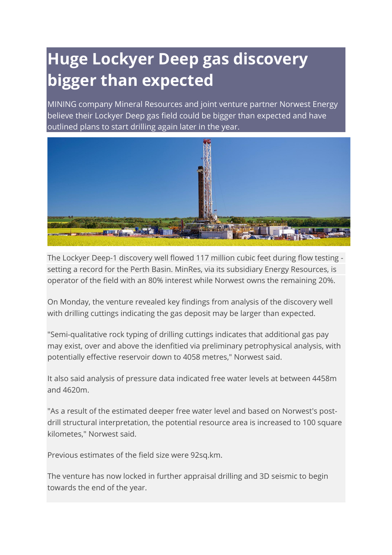## **Huge Lockyer Deep gas discovery bigger than expected**

MINING company Mineral Resources and joint venture partner Norwest Energy believe their Lockyer Deep gas field could be bigger than expected and have outlined plans to start drilling again later in the year.



The Lockyer Deep-1 discovery well flowed 117 million cubic feet during flow testing setting a record for the Perth Basin. MinRes, via its subsidiary Energy Resources, is operator of the field with an 80% interest while Norwest owns the remaining 20%.

On Monday, the venture revealed key findings from analysis of the discovery well with drilling cuttings indicating the gas deposit may be larger than expected.

"Semi-qualitative rock typing of drilling cuttings indicates that additional gas pay may exist, over and above the idenfitied via preliminary petrophysical analysis, with potentially effective reservoir down to 4058 metres," Norwest said.

It also said analysis of pressure data indicated free water levels at between 4458m and 4620m.

"As a result of the estimated deeper free water level and based on Norwest's postdrill structural interpretation, the potential resource area is increased to 100 square kilometes," Norwest said.

Previous estimates of the field size were 92sq.km.

The venture has now locked in further appraisal drilling and 3D seismic to begin towards the end of the year.